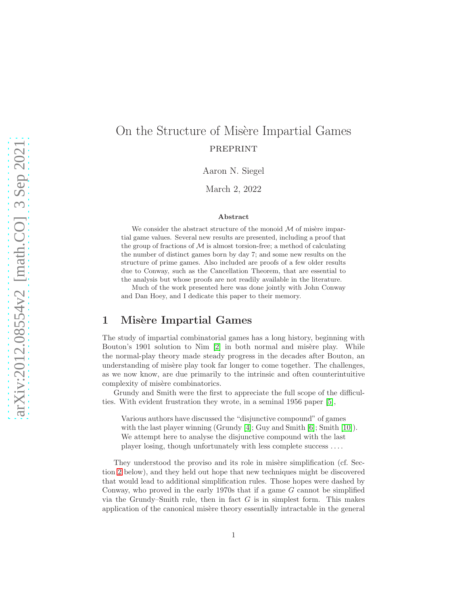# On the Structure of Misère Impartial Games PREPRINT

Aaron N. Siegel

March 2, 2022

#### Abstract

We consider the abstract structure of the monoid  $\mathcal M$  of misère impartial game values. Several new results are presented, including a proof that the group of fractions of  $\mathcal M$  is almost torsion-free; a method of calculating the number of distinct games born by day 7; and some new results on the structure of prime games. Also included are proofs of a few older results due to Conway, such as the Cancellation Theorem, that are essential to the analysis but whose proofs are not readily available in the literature.

Much of the work presented here was done jointly with John Conway and Dan Hoey, and I dedicate this paper to their memory.

### 1 Misère Impartial Games

The study of impartial combinatorial games has a long history, beginning with Bouton's 1901 solution to Nim  $[2]$  in both normal and misère play. While the normal-play theory made steady progress in the decades after Bouton, an understanding of misère play took far longer to come together. The challenges, as we now know, are due primarily to the intrinsic and often counterintuitive complexity of misère combinatorics.

Grundy and Smith were the first to appreciate the full scope of the difficulties. With evident frustration they wrote, in a seminal 1956 paper [\[5\]](#page-23-1),

Various authors have discussed the "disjunctive compound" of games with the last player winning (Grundy [\[4\]](#page-23-2); Guy and Smith [\[6\]](#page-23-3); Smith [\[10\]](#page-24-0)). We attempt here to analyse the disjunctive compound with the last player losing, though unfortunately with less complete success . . . .

They understood the proviso and its role in misère simplification (cf. Section [2](#page-4-0) below), and they held out hope that new techniques might be discovered that would lead to additional simplification rules. Those hopes were dashed by Conway, who proved in the early 1970s that if a game G cannot be simplified via the Grundy–Smith rule, then in fact  $G$  is in simplest form. This makes application of the canonical misère theory essentially intractable in the general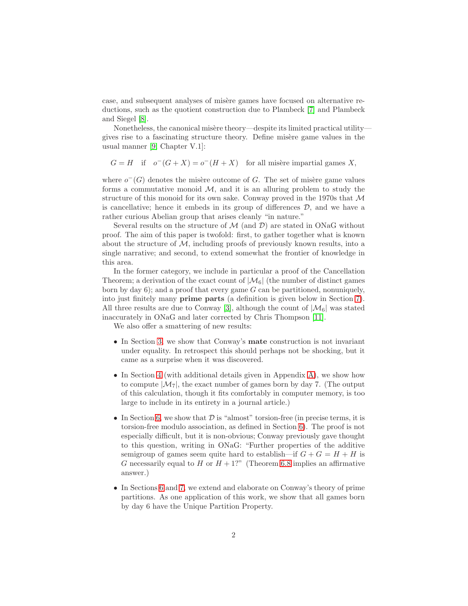case, and subsequent analyses of misère games have focused on alternative reductions, such as the quotient construction due to Plambeck [\[7\]](#page-23-4) and Plambeck and Siegel [\[8\]](#page-23-5).

Nonetheless, the canonical misère theory—despite its limited practical utility gives rise to a fascinating structure theory. Define misère game values in the usual manner [\[9,](#page-24-1) Chapter V.1]:

 $G = H$  if  $o^-(G+X) = o^-(H+X)$  for all misère impartial games X,

where  $o^-(G)$  denotes the misère outcome of G. The set of misère game values forms a commutative monoid  $M$ , and it is an alluring problem to study the structure of this monoid for its own sake. Conway proved in the 1970s that  $M$ is cancellative; hence it embeds in its group of differences  $D$ , and we have a rather curious Abelian group that arises cleanly "in nature."

Several results on the structure of  $\mathcal{M}$  (and  $\mathcal{D}$ ) are stated in ONaG without proof. The aim of this paper is twofold: first, to gather together what is known about the structure of  $\mathcal{M}$ , including proofs of previously known results, into a single narrative; and second, to extend somewhat the frontier of knowledge in this area.

In the former category, we include in particular a proof of the Cancellation Theorem; a derivation of the exact count of  $|\mathcal{M}_6|$  (the number of distinct games born by day  $6$ ); and a proof that every game  $G$  can be partitioned, nonuniquely, into just finitely many prime parts (a definition is given below in Section [7\)](#page-14-0). All three results are due to Conway [\[3\]](#page-23-6), although the count of  $|\mathcal{M}_6|$  was stated inaccurately in ONaG and later corrected by Chris Thompson [\[11\]](#page-24-2).

We also offer a smattering of new results:

- In Section [3,](#page-4-1) we show that Conway's mate construction is not invariant under equality. In retrospect this should perhaps not be shocking, but it came as a surprise when it was discovered.
- In Section [4](#page-5-0) (with additional details given in Appendix [A\)](#page-19-0), we show how to compute  $|\mathcal{M}_7|$ , the exact number of games born by day 7. (The output of this calculation, though it fits comfortably in computer memory, is too large to include in its entirety in a journal article.)
- In Section [6,](#page-12-0) we show that  $\mathcal D$  is "almost" torsion-free (in precise terms, it is torsion-free modulo association, as defined in Section [6\)](#page-12-0). The proof is not especially difficult, but it is non-obvious; Conway previously gave thought to this question, writing in ONaG: "Further properties of the additive semigroup of games seem quite hard to establish—if  $G + G = H + H$  is G necessarily equal to H or  $H + 1$ ?" (Theorem [6.8](#page-14-1) implies an affirmative answer.)
- In Sections [6](#page-12-0) and [7,](#page-14-0) we extend and elaborate on Conway's theory of prime partitions. As one application of this work, we show that all games born by day 6 have the Unique Partition Property.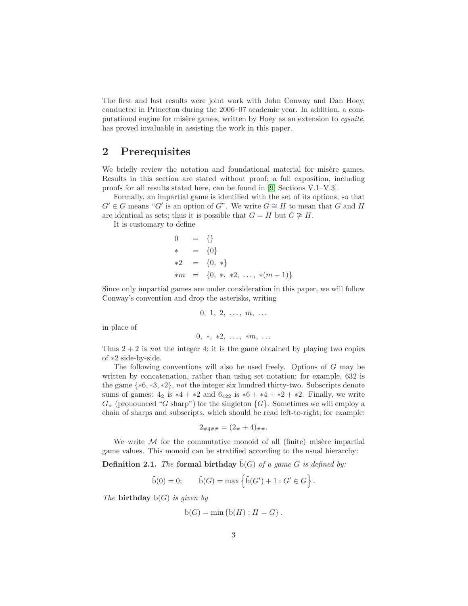The first and last results were joint work with John Conway and Dan Hoey, conducted in Princeton during the 2006–07 academic year. In addition, a computational engine for mis`ere games, written by Hoey as an extension to *cgsuite*, has proved invaluable in assisting the work in this paper.

### 2 Prerequisites

We briefly review the notation and foundational material for misère games. Results in this section are stated without proof; a full exposition, including proofs for all results stated here, can be found in [\[9,](#page-24-1) Sections V.1–V.3].

Formally, an impartial game is identified with the set of its options, so that  $G' \in G$  means "G' is an option of G". We write  $G \cong H$  to mean that G and H are identical as sets; thus it is possible that  $G = H$  but  $G \not\cong H$ .

It is customary to define

$$
0 = \{\}
$$
  
\n
$$
* = \{0\}
$$
  
\n
$$
*2 = \{0, *\}
$$
  
\n
$$
*m = \{0, *, *2, ..., * (m-1)\}
$$

Since only impartial games are under consideration in this paper, we will follow Conway's convention and drop the asterisks, writing

$$
0, 1, 2, \ldots, m, \ldots
$$

in place of

$$
0, *, *2, ..., *m, ...
$$

Thus  $2 + 2$  is *not* the integer 4; it is the game obtained by playing two copies of ∗2 side-by-side.

The following conventions will also be used freely. Options of G may be written by concatenation, rather than using set notation; for example, 632 is the game {∗6, ∗3, ∗2}, *not* the integer six hundred thirty-two. Subscripts denote sums of games:  $4_2$  is  $*4 + *2$  and  $6_{422}$  is  $*6 + *4 + *2 + *2$ . Finally, we write  $G_{\#}$  (pronounced "G sharp") for the singleton  $\{G\}$ . Sometimes we will employ a chain of sharps and subscripts, which should be read left-to-right; for example:

$$
2_{\#4\#\#} = (2_{\#} + 4)_{\#\#}.
$$

We write  $M$  for the commutative monoid of all (finite) misère impartial game values. This monoid can be stratified according to the usual hierarchy:

**Definition 2.1.** *The* formal birthday  $\tilde{b}(G)$  *of a game* G *is defined by:* 

$$
\tilde{b}(0) = 0;
$$
  $\tilde{b}(G) = \max \{ \tilde{b}(G') + 1 : G' \in G \}.$ 

*The* birthday b(G) *is given by*

$$
b(G) = \min \{b(H) : H = G\}.
$$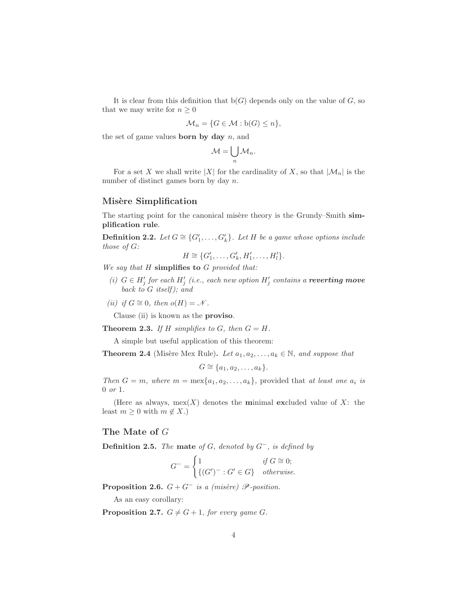It is clear from this definition that  $b(G)$  depends only on the value of G, so that we may write for  $n \geq 0$ 

$$
\mathcal{M}_n = \{ G \in \mathcal{M} : b(G) \le n \},
$$

the set of game values **born** by day  $n$ , and

$$
\mathcal{M}=\bigcup_n \mathcal{M}_n.
$$

For a set X we shall write |X| for the cardinality of X, so that  $|\mathcal{M}_n|$  is the number of distinct games born by day n.

### Misère Simplification

The starting point for the canonical misère theory is the Grundy–Smith simplification rule.

**Definition 2.2.** Let  $G \cong \{G'_1, \ldots, G'_k\}$ . Let H be a game whose options include *those of* G*:*

$$
H \cong \{G'_1, \ldots, G'_k, H'_1, \ldots, H'_l\}.
$$

*We say that* H simplifies to G *provided that:*

- (*i*)  $G \in H'_{j}$  for each  $H'_{j}$  (*i.e., each new option*  $H'_{j}$  contains a **reverting move** *back to* G *itself ); and*
- *(ii) if*  $G \cong 0$ *, then*  $o(H) = \mathcal{N}$ *.*

Clause (ii) is known as the proviso.

**Theorem 2.3.** If H simplifies to G, then  $G = H$ .

A simple but useful application of this theorem:

**Theorem 2.4** (Misère Mex Rule). Let  $a_1, a_2, \ldots, a_k \in \mathbb{N}$ , and suppose that

 $G \cong \{a_1, a_2, \ldots, a_k\}.$ 

*Then*  $G = m$ *, where*  $m = \max\{a_1, a_2, \ldots, a_k\}$ , provided that *at least one*  $a_i$  *is* 0 *or* 1*.*

(Here as always,  $\max(X)$  denotes the minimal excluded value of X: the least  $m \geq 0$  with  $m \notin X$ .)

#### The Mate of G

Definition 2.5. *The* mate *of* G*, denoted by* G−*, is defined by*

$$
G^{-} = \begin{cases} 1 & \text{if } G \cong 0; \\ \{(G')^{-} : G' \in G\} & otherwise. \end{cases}
$$

**Proposition 2.6.**  $G + G^-$  *is a (misère)*  $\mathscr P$ -position.

As an easy corollary:

<span id="page-3-0"></span>**Proposition 2.7.**  $G \neq G+1$ , for every game G.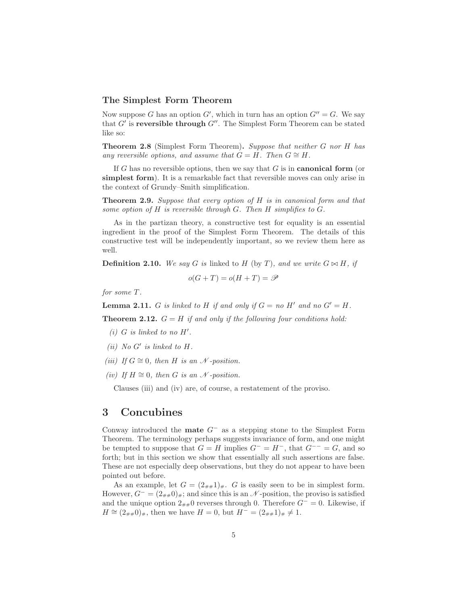#### <span id="page-4-0"></span>The Simplest Form Theorem

Now suppose G has an option  $G'$ , which in turn has an option  $G'' = G$ . We say that  $G'$  is reversible through  $G''$ . The Simplest Form Theorem can be stated like so:

Theorem 2.8 (Simplest Form Theorem). *Suppose that neither* G *nor* H *has any reversible options, and assume that*  $G = H$ *. Then*  $G \cong H$ *.* 

If G has no reversible options, then we say that  $G$  is in **canonical form** (or simplest form). It is a remarkable fact that reversible moves can only arise in the context of Grundy–Smith simplification.

Theorem 2.9. *Suppose that every option of* H *is in canonical form and that some option of* H *is reversible through* G*. Then* H *simplifies to* G*.*

As in the partizan theory, a constructive test for equality is an essential ingredient in the proof of the Simplest Form Theorem. The details of this constructive test will be independently important, so we review them here as well.

**Definition 2.10.** *We say* G *is* linked to H (by T), and we write  $G \bowtie H$ , if

$$
o(G+T) = o(H+T) = \mathscr{P}
$$

*for some* T *.*

<span id="page-4-3"></span>**Lemma 2.11.** G is linked to H if and only if  $G = no$  H' and no  $G' = H$ .

<span id="page-4-2"></span>**Theorem 2.12.**  $G = H$  if and only if the following four conditions hold:

- $(i)$  *G is linked to no H'*.
- $(ii)$  *No*  $G'$  *is linked to*  $H$ *.*
- *(iii)* If  $G \cong 0$ , then H is an  $\mathcal N$  -position.
- $(iv)$  *If*  $H ≅ 0$ *, then G is an*  $N$ *-position.*

Clauses (iii) and (iv) are, of course, a restatement of the proviso.

### <span id="page-4-1"></span>3 Concubines

Conway introduced the **mate**  $G^-$  as a stepping stone to the Simplest Form Theorem. The terminology perhaps suggests invariance of form, and one might be tempted to suppose that  $G = H$  implies  $G^- = H^-$ , that  $G^{--} = G$ , and so forth; but in this section we show that essentially all such assertions are false. These are not especially deep observations, but they do not appear to have been pointed out before.

As an example, let  $G = (2_{\# \#}1)_{\#}$ . G is easily seen to be in simplest form. However,  $G^{-} = (2_{\# \#} 0)_{\#}$ ; and since this is an  $\mathcal N$ -position, the proviso is satisfied and the unique option  $2_{\# \#}0$  reverses through 0. Therefore  $G^- = 0$ . Likewise, if  $H \cong (2_{\# \#}0)_{\#}$ , then we have  $H = 0$ , but  $H^- = (2_{\# \#}1)_{\#} \neq 1$ .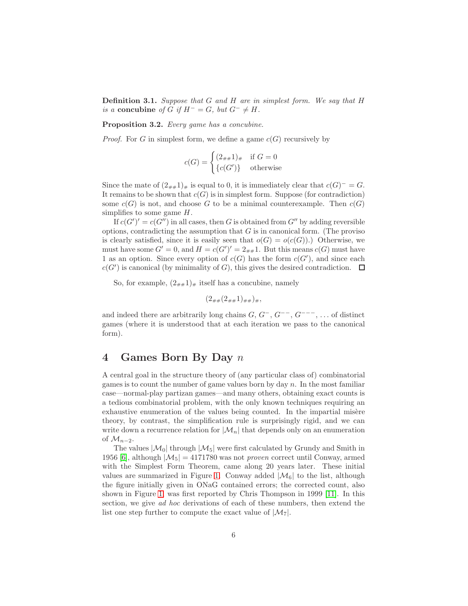Definition 3.1. *Suppose that* G *and* H *are in simplest form. We say that* H *is a* concubine *of* G *if*  $H^- = G$ , *but*  $G^- \neq H$ .

Proposition 3.2. *Every game has a concubine.*

*Proof.* For G in simplest form, we define a game  $c(G)$  recursively by

$$
c(G) = \begin{cases} (2_{\# \#} 1)_{\#} & \text{if } G = 0\\ \{c(G')\} & \text{otherwise} \end{cases}
$$

Since the mate of  $(2_{\# \#}1)_{\#}$  is equal to 0, it is immediately clear that  $c(G)^{-} = G$ . It remains to be shown that  $c(G)$  is in simplest form. Suppose (for contradiction) some  $c(G)$  is not, and choose G to be a minimal counterexample. Then  $c(G)$ simplifies to some game  $H$ .

If  $c(G')' = c(G'')$  in all cases, then G is obtained from  $G''$  by adding reversible options, contradicting the assumption that  $G$  is in canonical form. (The proviso is clearly satisfied, since it is easily seen that  $o(G) = o(c(G))$ .) Otherwise, we must have some  $G' = 0$ , and  $H = c(G')' = 2_{\# \#} 1$ . But this means  $c(G)$  must have 1 as an option. Since every option of  $c(G)$  has the form  $c(G')$ , and since each  $c(G')$  is canonical (by minimality of  $G$ ), this gives the desired contradiction.

So, for example,  $(2_{\#}\mu)^*$  itself has a concubine, namely

$$
(2_{\# \#} (2_{\# \#} 1)_{\# \#})_{\#},
$$

and indeed there are arbitrarily long chains  $G, G^-, G^{--}, G^{---}, \ldots$  of distinct games (where it is understood that at each iteration we pass to the canonical form).

### <span id="page-5-0"></span>4 Games Born By Day n

A central goal in the structure theory of (any particular class of) combinatorial games is to count the number of game values born by day  $n$ . In the most familiar case—normal-play partizan games—and many others, obtaining exact counts is a tedious combinatorial problem, with the only known techniques requiring an exhaustive enumeration of the values being counted. In the impartial misère theory, by contrast, the simplification rule is surprisingly rigid, and we can write down a recurrence relation for  $|\mathcal{M}_n|$  that depends only on an enumeration of  $\mathcal{M}_{n-2}$ .

The values  $|\mathcal{M}_0|$  through  $|\mathcal{M}_5|$  were first calculated by Grundy and Smith in 1956 [\[6\]](#page-23-3), although  $|\mathcal{M}_5| = 4171780$  was not *proven* correct until Conway, armed with the Simplest Form Theorem, came along 20 years later. These initial values are summarized in Figure [1.](#page-6-0) Conway added  $|\mathcal{M}_6|$  to the list, although the figure initially given in ONaG contained errors; the corrected count, also shown in Figure [1,](#page-6-0) was first reported by Chris Thompson in 1999 [\[11\]](#page-24-2). In this section, we give *ad hoc* derivations of each of these numbers, then extend the list one step further to compute the exact value of  $|\mathcal{M}_7|$ .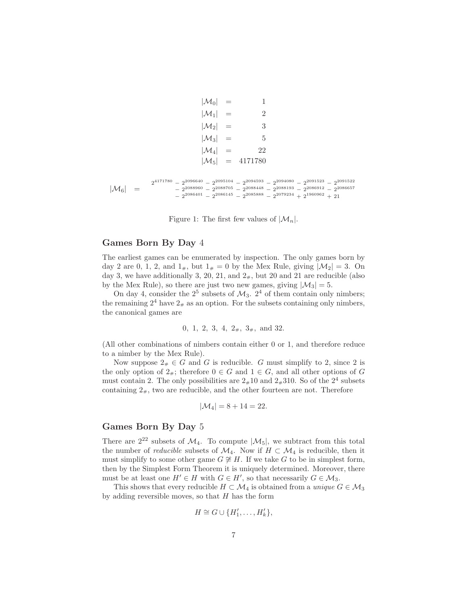$$
|\mathcal{M}_0| = 1
$$
  
\n
$$
|\mathcal{M}_1| = 2
$$
  
\n
$$
|\mathcal{M}_2| = 3
$$
  
\n
$$
|\mathcal{M}_3| = 5
$$
  
\n
$$
|\mathcal{M}_4| = 22
$$
  
\n
$$
|\mathcal{M}_5| = 4171780
$$
  
\n
$$
|\mathcal{M}_6| = \frac{2^{4171780} - 2^{2096640} - 2^{2095104} - 2^{2094593} - 2^{2094080} - 2^{2091523} - 2^{2091522}}{-2^{2088960} - 2^{2088705} - 2^{2088448} - 2^{2088193} - 2^{2086012} - 2^{2086657}}
$$

<span id="page-6-0"></span>Figure 1: The first few values of  $|\mathcal{M}_n|$ .

 $-2^{2086401} - 2^{2086145} - 2^{2085888} - 2^{2079234} + 2^{1960962} + 21$ 

#### Games Born By Day 4

The earliest games can be enumerated by inspection. The only games born by day 2 are 0, 1, 2, and  $1_{\#}$ , but  $1_{\#} = 0$  by the Mex Rule, giving  $|\mathcal{M}_2| = 3$ . On day 3, we have additionally 3, 20, 21, and  $2<sub>\#</sub>$ , but 20 and 21 are reducible (also by the Mex Rule), so there are just two new games, giving  $|\mathcal{M}_3| = 5$ .

On day 4, consider the  $2^5$  subsets of  $\mathcal{M}_3$ .  $2^4$  of them contain only nimbers; the remaining  $2^4$  have  $2_*$  as an option. For the subsets containing only nimbers, the canonical games are

$$
0, 1, 2, 3, 4, 2*, 3*,
$$
 and  $32.$ 

(All other combinations of nimbers contain either 0 or 1, and therefore reduce to a nimber by the Mex Rule).

Now suppose  $2<sub>#</sub> \in G$  and G is reducible. G must simplify to 2, since 2 is the only option of  $2_{\#}$ ; therefore  $0 \in G$  and  $1 \in G$ , and all other options of G must contain 2. The only possibilities are  $2*10$  and  $2*310$ . So of the  $2<sup>4</sup>$  subsets containing  $2<sub>\#</sub>$ , two are reducible, and the other fourteen are not. Therefore

$$
|\mathcal{M}_4| = 8 + 14 = 22.
$$

### Games Born By Day 5

There are  $2^{22}$  subsets of  $\mathcal{M}_4$ . To compute  $|\mathcal{M}_5|$ , we subtract from this total the number of *reducible* subsets of  $\mathcal{M}_4$ . Now if  $H \subset \mathcal{M}_4$  is reducible, then it must simplify to some other game  $G \not\cong H$ . If we take G to be in simplest form, then by the Simplest Form Theorem it is uniquely determined. Moreover, there must be at least one  $H' \in H$  with  $G \in H'$ , so that necessarily  $G \in \mathcal{M}_3$ .

This shows that every reducible  $H \subset \mathcal{M}_4$  is obtained from a *unique*  $G \in \mathcal{M}_3$ by adding reversible moves, so that  $H$  has the form

$$
H \cong G \cup \{H'_1, \ldots, H'_k\},\
$$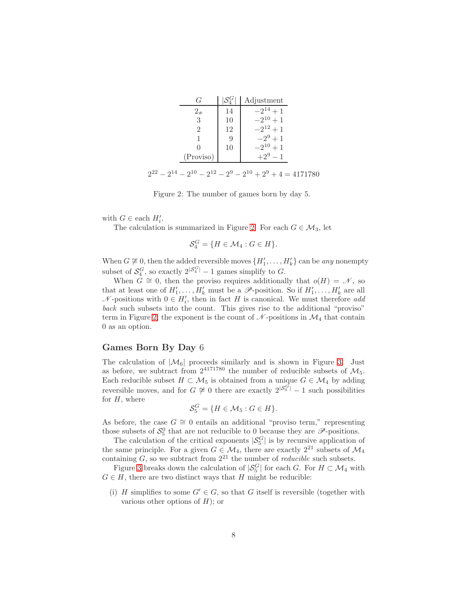| ( <i>i</i> |    | Adjustment  |
|------------|----|-------------|
| $2_{\#}$   | 14 | $-2^{14}+1$ |
| 3          | 10 | $-2^{10}+1$ |
|            | 12 | $-2^{12}+1$ |
|            | Ч  | $-2^9+1$    |
|            | 10 | $10+1$      |
| (Proviso)  |    |             |
|            |    |             |

 $2^{22} - 2^{14} - 2^{10} - 2^{12} - 2^9 - 2^{10} + 2^9 + 4 = 4171780$ 

<span id="page-7-0"></span>Figure 2: The number of games born by day 5.

with  $G \in$  each  $H'_i$ .

The calculation is summarized in Figure [2.](#page-7-0) For each  $G \in \mathcal{M}_3$ , let

$$
\mathcal{S}_4^G = \{ H \in \mathcal{M}_4 : G \in H \}.
$$

When  $G \not\cong 0$ , then the added reversible moves  $\{H'_1, \ldots, H'_k\}$  can be *any* nonempty subset of  $S_4^G$ , so exactly  $2^{|S_4^G|} - 1$  games simplify to G.

When  $G \cong 0$ , then the proviso requires additionally that  $o(H) = \mathcal{N}$ , so that at least one of  $H'_1, \ldots, H'_k$  must be a  $\mathscr{P}$ -position. So if  $H'_1, \ldots, H'_k$  are all  $N$ -positions with  $0 \in H'_{i}$ , then in fact H is canonical. We must therefore *add back* such subsets into the count. This gives rise to the additional "proviso" term in Figure [2;](#page-7-0) the exponent is the count of  $\mathcal N$ -positions in  $\mathcal M_4$  that contain 0 as an option.

#### Games Born By Day 6

The calculation of  $|\mathcal{M}_6|$  proceeds similarly and is shown in Figure [3.](#page-8-0) Just as before, we subtract from  $2^{4171780}$  the number of reducible subsets of  $\mathcal{M}_5$ . Each reducible subset  $H \subset \mathcal{M}_5$  is obtained from a unique  $G \in \mathcal{M}_4$  by adding reversible moves, and for  $G \not\cong 0$  there are exactly  $2^{|\mathcal{S}_5^{\tilde{G}}|} - 1$  such possibilities for  $H$ , where

$$
\mathcal{S}_5^G = \{ H \in \mathcal{M}_5 : G \in H \}.
$$

As before, the case  $G \cong 0$  entails an additional "proviso term," representing those subsets of  $S_5^0$  that are not reducible to 0 because they are  $\mathscr{P}$ -positions.

The calculation of the critical exponents  $|S_5^G|$  is by recursive application of the same principle. For a given  $G \in \mathcal{M}_4$ , there are exactly  $2^{21}$  subsets of  $\mathcal{M}_4$ containing  $G$ , so we subtract from  $2^{21}$  the number of *reducible* such subsets.

Figure [3](#page-8-0) breaks down the calculation of  $|S_5^G|$  for each G. For  $H \subset \mathcal{M}_4$  with  $G \in H$ , there are two distinct ways that H might be reducible:

(i) H simplifies to some  $G' \in G$ , so that G itself is reversible (together with various other options of  $H$ ); or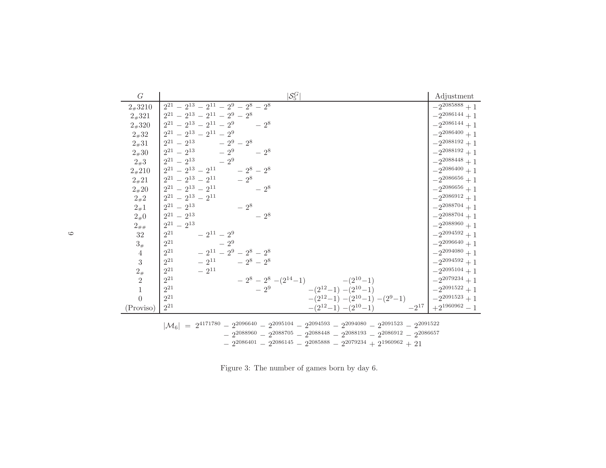| G              | $ \mathcal{S}_5^G $                                                                                                                                                                                                                                                                        | Adjustment                   |
|----------------|--------------------------------------------------------------------------------------------------------------------------------------------------------------------------------------------------------------------------------------------------------------------------------------------|------------------------------|
| $2*3210$       | $2^{21} - 2^{13} - 2^{11} - 2^9 - 2^8 - 2^8$                                                                                                                                                                                                                                               | $-2^{2085888}+1$             |
| $2*321$        | $2^{21} - 2^{13} - 2^{11} - 2^9 - 2^8$                                                                                                                                                                                                                                                     | $-2^{2086144}+1$             |
| $2*320$        | $2^{21} - 2^{13} - 2^{11} - 2^9 = 2^8$                                                                                                                                                                                                                                                     | $-2^{2086144}+1$             |
| $2*32$         | $2^{21}$ – $2^{13}$ – $2^{11}$ – $2^9$                                                                                                                                                                                                                                                     | $-2^{2086400}+1$             |
| $2*31$         | $2^{21} - 2^{13} - 2^9 - 2^8$                                                                                                                                                                                                                                                              | $-2^{2088192}+1$             |
| $2*30$         | $2^{21} - 2^{13} - 2^9 - 2^8$                                                                                                                                                                                                                                                              | $-2^{2088192}+1$             |
| $2*3$          | $2^{21} - 2^{13} - 2^9$                                                                                                                                                                                                                                                                    | $-2^{2088448}+1$             |
| $2*210$        | $2^{21} - 2^{13} - 2^{11} - 2^8 - 2^8$                                                                                                                                                                                                                                                     | $-2^{2086400}+1$             |
| $2*21$         | $12^{21} - 2^{13} - 2^{11} - 2^8$                                                                                                                                                                                                                                                          | $-2^{2086656}+1$             |
| $2*20$         | $2^{21} - 2^{13} - 2^{11}$<br>$-2^8$                                                                                                                                                                                                                                                       | $-2^{2086656}+1$             |
| $2_{\#}2$      | $2^{21} - 2^{13} - 2^{11}$                                                                                                                                                                                                                                                                 | $-2^{2086912}+1$             |
| $2_{\#}1$      | $2^{21} - 2^{13}$<br>$-2^{8}$                                                                                                                                                                                                                                                              | $-2^{2088704}+1$             |
| $2_{\#}0$      | $2^{21} - 2^{13}$<br>$-2^8$                                                                                                                                                                                                                                                                | $-2^{2088704}+1$             |
| $2_{\# \#}$    | $2^{21} - 2^{13}$                                                                                                                                                                                                                                                                          | $-2^{2088960}+1$             |
| 32             | $2^{21}$<br>$-2^{11} - 2^9$                                                                                                                                                                                                                                                                | $-2^{2094592}+1$             |
| $3\#$          | $2^{21}$<br>$-2^9$                                                                                                                                                                                                                                                                         | $-2^{2096640}+1$             |
| 4              | $-2^{11} - 2^9 - 2^8 - 2^8$<br>$2^{21}$                                                                                                                                                                                                                                                    | $-2^{2094080}+1$             |
| 3              | $2^{21}$<br>$-2^{11}$ $-2^8-2^8$                                                                                                                                                                                                                                                           | $-2^{2094592}+1$             |
| $2_{#}$        | $2^{21}$<br>$-2^{11}$                                                                                                                                                                                                                                                                      | $-2^{2095104}+1$             |
| $\overline{2}$ | $2^{21}$<br>$-2^8 - 2^8 - (2^{14} - 1)$ $-(2^{10} - 1)$                                                                                                                                                                                                                                    | $-2^{2079234}+1$             |
| $\overline{1}$ | $2^{21}$<br>$-(2^{12}-1)-(2^{10}-1)$<br>$-2^{9}$                                                                                                                                                                                                                                           | $-2^{2091522}+1$             |
| $\theta$       | $2^{21}\,$<br>$-(2^{12}-1)-(2^{10}-1)-(2^{9}-1)$                                                                                                                                                                                                                                           | $\vert -2^{2091523}+1 \vert$ |
| (Proviso)      | $2^{21}\,$<br>$-2^{17}$<br>$-(2^{12}-1)-(2^{10}-1)$                                                                                                                                                                                                                                        | $+2^{1960962}-1$             |
|                | $ \mathcal{M}_6  = 2^{4171780} - 2^{2096640} - 2^{2095104} - 2^{2094593} - 2^{2094080} - 2^{2091523} - 2^{2091522}$<br>$-2^{2088960} - 2^{2088705} - 2^{2088448} - 2^{2088193} - 2^{2086912} - 2^{2086657}$<br>$-2^{2086401} - 2^{2086145} - 2^{2085888} - 2^{2079234} + 2^{1960962} + 21$ |                              |

<span id="page-8-0"></span>Figure 3: The number of games born by day 6.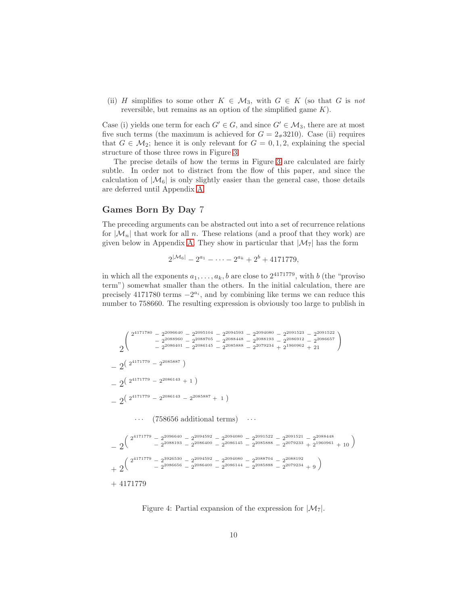(ii) H simplifies to some other  $K \in \mathcal{M}_3$ , with  $G \in K$  (so that G is *not* reversible, but remains as an option of the simplified game  $K$ ).

Case (i) yields one term for each  $G' \in G$ , and since  $G' \in \mathcal{M}_3$ , there are at most five such terms (the maximum is achieved for  $G = 2#3210$ ). Case (ii) requires that  $G \in \mathcal{M}_2$ ; hence it is only relevant for  $G = 0, 1, 2$ , explaining the special structure of those three rows in Figure [3.](#page-8-0)

The precise details of how the terms in Figure [3](#page-8-0) are calculated are fairly subtle. In order not to distract from the flow of this paper, and since the calculation of  $|\mathcal{M}_6|$  is only slightly easier than the general case, those details are deferred until Appendix [A.](#page-19-0)

### Games Born By Day 7

The preceding arguments can be abstracted out into a set of recurrence relations for  $|\mathcal{M}_n|$  that work for all n. These relations (and a proof that they work) are given below in Appendix [A.](#page-19-0) They show in particular that  $|\mathcal{M}_7|$  has the form

$$
2^{|\mathcal{M}_6|} - 2^{a_1} - \cdots - 2^{a_k} + 2^b + 4171779,
$$

in which all the exponents  $a_1, \ldots, a_k, b$  are close to  $2^{4171779}$ , with b (the "proviso") term") somewhat smaller than the others. In the initial calculation, there are precisely 4171780 terms  $-2^{a_i}$ , and by combining like terms we can reduce this number to 758660. The resulting expression is obviously too large to publish in

$$
\begin{array}{l} 2^{4171780}-2^{2096640}-2^{2095104}-2^{2094593}-2^{2094080}-2^{2091523}-2^{2091522}\\ -2^{2088600}-2^{2088705}-2^{2088448}-2^{2088193}-2^{2086912}-2^{2086657}\\ -2^{2086401}-2^{2086415}-2^{2085888}-2^{2079234}+2^{1960962}+21 \end{array}
$$
\n
$$
-\begin{array}{l} 2^{2(171779}-2^{2086143}+1)\\ -2^{2(2^{4171779}-2^{2086143}+1)\\ \cdots \end{array}
$$
\n
$$
\begin{array}{l} \cdots \end{array} \qquad \qquad \left(\begin{array}{l} 758656 \text{ additional terms} \end{array}\right) \qquad \cdots
$$
\n
$$
-\begin{array}{l} 2^{4^{171779}-2^{2096640}-2^{2094592}-2^{2094080}-2^{2091522}-2^{2091521}-2^{2088448}\\ -2^{2^{4171779}-2^{2086440}-2^{2094592}-2^{2094080}-2^{2091522}-2^{2091521}-2^{2088448}\\ -2^{2^{4171779}-2^{3926530}-2^{2084000}-2^{2086145}-2^{2085888}-2^{2079233}+2^{1960961}+10 \end{array}\Big)
$$
\n
$$
+\begin{array}{l} 2^{4^{171779}-2^{3926530}-2^{2094592}-2^{2094080}-2^{208704}-2^{2088192}\\ -2^{2086656}-2^{2086400}-2^{2086144}-2^{2085888}-2^{2079234}+9 \end{array}
$$

<span id="page-9-0"></span>Figure 4: Partial expansion of the expression for  $|\mathcal{M}_7|$ .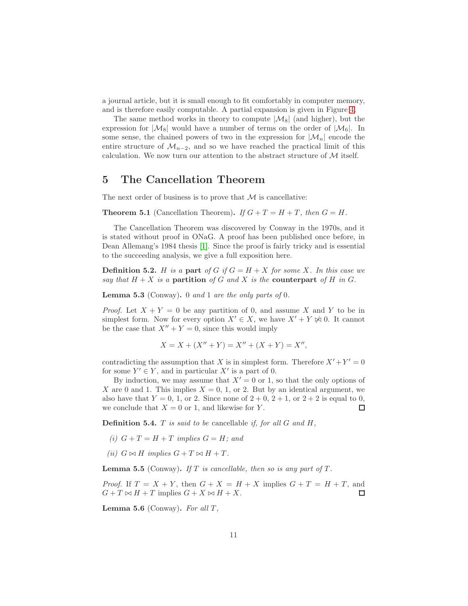a journal article, but it is small enough to fit comfortably in computer memory, and is therefore easily computable. A partial expansion is given in Figure [4.](#page-9-0)

The same method works in theory to compute  $|\mathcal{M}_8|$  (and higher), but the expression for  $|\mathcal{M}_8|$  would have a number of terms on the order of  $|\mathcal{M}_6|$ . In some sense, the chained powers of two in the expression for  $|\mathcal{M}_n|$  encode the entire structure of  $\mathcal{M}_{n-2}$ , and so we have reached the practical limit of this calculation. We now turn our attention to the abstract structure of  $\mathcal M$  itself.

### 5 The Cancellation Theorem

The next order of business is to prove that  $M$  is cancellative:

**Theorem 5.1** (Cancellation Theorem). *If*  $G + T = H + T$ *, then*  $G = H$ *.* 

The Cancellation Theorem was discovered by Conway in the 1970s, and it is stated without proof in ONaG. A proof has been published once before, in Dean Allemang's 1984 thesis [\[1\]](#page-23-7). Since the proof is fairly tricky and is essential to the succeeding analysis, we give a full exposition here.

**Definition 5.2.** H is a part of G if  $G = H + X$  for some X. In this case we *say that*  $H + X$  *is a* partition *of* G *and* X *is the* counterpart *of* H *in* G.

<span id="page-10-0"></span>Lemma 5.3 (Conway). 0 *and* 1 *are the only parts of* 0*.*

*Proof.* Let  $X + Y = 0$  be any partition of 0, and assume X and Y to be in simplest form. Now for every option  $X' \in X$ , we have  $X' + Y \not\approx 0$ . It cannot be the case that  $X'' + Y = 0$ , since this would imply

$$
X = X + (X'' + Y) = X'' + (X + Y) = X'',
$$

contradicting the assumption that X is in simplest form. Therefore  $X' + Y' = 0$ for some  $Y' \in Y$ , and in particular X' is a part of 0.

By induction, we may assume that  $X' = 0$  or 1, so that the only options of X are 0 and 1. This implies  $X = 0, 1$ , or 2. But by an identical argument, we also have that  $Y = 0, 1,$  or 2. Since none of  $2 + 0, 2 + 1$ , or  $2 + 2$  is equal to 0, we conclude that  $X = 0$  or 1, and likewise for Y.  $\Box$ 

Definition 5.4. T *is said to be* cancellable *if, for all* G *and* H*,*

- (*i*)  $G + T = H + T$  *implies*  $G = H$ *; and*
- *(ii)*  $G \bowtie H$  *implies*  $G + T \bowtie H + T$ *.*

<span id="page-10-1"></span>**Lemma 5.5** (Conway). If T is cancellable, then so is any part of  $T$ .

*Proof.* If  $T = X + Y$ , then  $G + X = H + X$  implies  $G + T = H + T$ , and  $G + T \bowtie H + T$  implies  $G + X \bowtie H + X$ .  $\Box$ 

<span id="page-10-2"></span>Lemma 5.6 (Conway). *For all* T *,*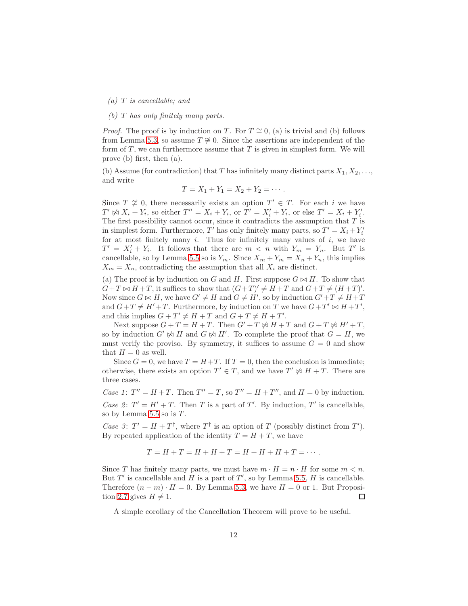*(a)* T *is cancellable; and*

#### *(b)* T *has only finitely many parts.*

*Proof.* The proof is by induction on T. For  $T \cong 0$ , (a) is trivial and (b) follows from Lemma [5.3,](#page-10-0) so assume  $T \not\cong 0$ . Since the assertions are independent of the form of  $T$ , we can furthermore assume that  $T$  is given in simplest form. We will prove (b) first, then (a).

(b) Assume (for contradiction) that T has infinitely many distinct parts  $X_1, X_2, \ldots$ and write

$$
T = X_1 + Y_1 = X_2 + Y_2 = \cdots.
$$

Since  $T \not\cong 0$ , there necessarily exists an option  $T' \in T$ . For each i we have  $T' \not\approx X_i + Y_i$ , so either  $T'' = X_i + Y_i$ , or  $T' = X'_i + Y_i$ , or else  $T' = X_i + Y'_i$ . The first possibility cannot occur, since it contradicts the assumption that  $T$  is in simplest form. Furthermore, T' has only finitely many parts, so  $T' = X_i + Y'_i$ for at most finitely many  $i$ . Thus for infinitely many values of  $i$ , we have  $T' = X'_i + Y_i$ . It follows that there are  $m < n$  with  $Y_m = Y_n$ . But T' is cancellable, so by Lemma [5.5](#page-10-1) so is  $Y_m$ . Since  $X_m + Y_m = X_n + Y_n$ , this implies  $X_m = X_n$ , contradicting the assumption that all  $X_i$  are distinct.

(a) The proof is by induction on G and H. First suppose  $G \bowtie H$ . To show that  $G+T \bowtie H+T$ , it suffices to show that  $(G+T)' \neq H+T$  and  $G+T \neq (H+T)'$ . Now since  $G \bowtie H$ , we have  $G' \neq H$  and  $G \neq H'$ , so by induction  $G' + T \neq H + T$ and  $G+T \neq H'+T$ . Furthermore, by induction on T we have  $G+T' \bowtie H+T'$ , and this implies  $G + T' \neq H + T$  and  $G + T \neq H + T'$ .

Next suppose  $G + T = H + T$ . Then  $G' + T \not\approx H + T$  and  $G + T \not\approx H' + T$ , so by induction  $G' \not\bowtie H$  and  $G \not\bowtie H'$ . To complete the proof that  $G = H$ , we must verify the proviso. By symmetry, it suffices to assume  $G = 0$  and show that  $H = 0$  as well.

Since  $G = 0$ , we have  $T = H + T$ . If  $T = 0$ , then the conclusion is immediate; otherwise, there exists an option  $T' \in T$ , and we have  $T' \not\approx H + T$ . There are three cases.

*Case 1*:  $T'' = H + T$ . Then  $T'' = T$ , so  $T'' = H + T''$ , and  $H = 0$  by induction. *Case 2*:  $T' = H' + T$ . Then T is a part of T'. By induction, T' is cancellable, so by Lemma  $5.5$  so is  $T$ .

Case 3:  $T' = H + T^{\dagger}$ , where  $T^{\dagger}$  is an option of T (possibly distinct from T'). By repeated application of the identity  $T = H + T$ , we have

$$
T = H + T = H + H + T = H + H + H + T = \cdots.
$$

Since T has finitely many parts, we must have  $m \cdot H = n \cdot H$  for some  $m \lt n$ . But  $T'$  is cancellable and H is a part of  $T'$ , so by Lemma [5.5,](#page-10-1) H is cancellable. Therefore  $(n - m) \cdot H = 0$ . By Lemma [5.3,](#page-10-0) we have  $H = 0$  or 1. But Proposi-tion [2.7](#page-3-0) gives  $H \neq 1$ . 口

A simple corollary of the Cancellation Theorem will prove to be useful.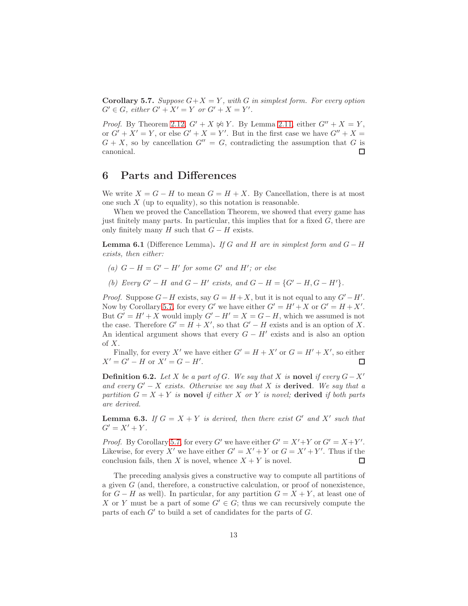<span id="page-12-1"></span>**Corollary 5.7.** *Suppose*  $G + X = Y$ *, with* G *in simplest form. For every option*  $G' \in G$ , either  $G' + X' = Y$  or  $G' + X = Y'$ .

*Proof.* By Theorem [2.12,](#page-4-2)  $G' + X \not\bowtie Y$ . By Lemma [2.11,](#page-4-3) either  $G'' + X = Y$ , or  $G' + X' = Y$ , or else  $G' + X = Y'$ . But in the first case we have  $G'' + X = Y'$  $G + X$ , so by cancellation  $G'' = G$ , contradicting the assumption that G is canonical.  $\Box$ 

### <span id="page-12-0"></span>6 Parts and Differences

We write  $X = G - H$  to mean  $G = H + X$ . By Cancellation, there is at most one such  $X$  (up to equality), so this notation is reasonable.

When we proved the Cancellation Theorem, we showed that every game has just finitely many parts. In particular, this implies that for a fixed  $G$ , there are only finitely many H such that  $G - H$  exists.

**Lemma 6.1** (Difference Lemma). *If* G and H are in simplest form and  $G - H$ *exists, then either:*

- $(a)$  *G* − *H* = *G'* − *H' for some G' and H'*; *or else*
- *(b)* Every  $G' H$  and  $G H'$  exists, and  $G H = \{G' H, G H'\}.$

*Proof.* Suppose  $G-H$  exists, say  $G = H + X$ , but it is not equal to any  $G' - H'$ . Now by Corollary [5.7,](#page-12-1) for every G' we have either  $G' = H' + X$  or  $G' = H + X'$ . But  $G' = H' + X$  would imply  $G' - H' = X = G - H$ , which we assumed is not the case. Therefore  $G' = H + X'$ , so that  $G' - H$  exists and is an option of X. An identical argument shows that every  $G - H'$  exists and is also an option of  $X$ .

Finally, for every X' we have either  $G' = H + X'$  or  $G = H' + X'$ , so either  $X' = G' - H$  or  $X' = G - H'$ . □

**Definition 6.2.** *Let* X *be a part of* G. We say that X *is* novel *if every*  $G - X'$ *and every* G′ − X *exists. Otherwise we say that* X *is* derived*. We say that a partition*  $G = X + Y$  *is* novel *if either* X *or* Y *is novel;* derived *if both parts are derived.*

<span id="page-12-2"></span>**Lemma 6.3.** If  $G = X + Y$  is derived, then there exist  $G'$  and  $X'$  such that  $G' = X' + Y$ .

*Proof.* By Corollary [5.7,](#page-12-1) for every G' we have either  $G' = X' + Y$  or  $G' = X + Y'$ . Likewise, for every X' we have either  $G' = X' + Y$  or  $G = X' + Y'$ . Thus if the conclusion fails, then X is novel, whence  $X + Y$  is novel.  $\Box$ 

The preceding analysis gives a constructive way to compute all partitions of a given  $G$  (and, therefore, a constructive calculation, or proof of nonexistence, for  $G - H$  as well). In particular, for any partition  $G = X + Y$ , at least one of X or Y must be a part of some  $G' \in G$ ; thus we can recursively compute the parts of each  $G'$  to build a set of candidates for the parts of  $G$ .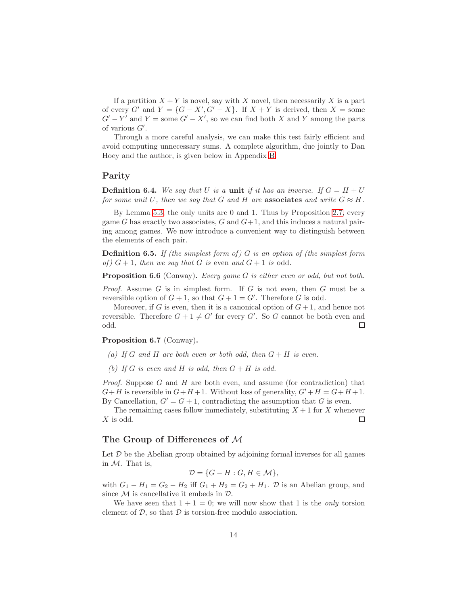If a partition  $X + Y$  is novel, say with X novel, then necessarily X is a part of every  $G'$  and  $Y = \{G - X', G' - X\}$ . If  $X + Y$  is derived, then  $X =$  some  $G'-Y'$  and  $Y=$  some  $G'-X'$ , so we can find both X and Y among the parts of various  $G'$ .

Through a more careful analysis, we can make this test fairly efficient and avoid computing unnecessary sums. A complete algorithm, due jointly to Dan Hoey and the author, is given below in Appendix [B.](#page-21-0)

### Parity

**Definition 6.4.** We say that U is a unit if it has an inverse. If  $G = H + U$ *for some unit* U, then we say that G and H are associates and write  $G \approx H$ .

By Lemma [5.3,](#page-10-0) the only units are 0 and 1. Thus by Proposition [2.7,](#page-3-0) every game G has exactly two associates,  $G$  and  $G+1$ , and this induces a natural pairing among games. We now introduce a convenient way to distinguish between the elements of each pair.

Definition 6.5. *If (the simplest form of )* G *is an option of (the simplest form of*  $(G + 1)$ *, then we say that*  $G$  *is* even and  $G + 1$  *is* odd.

Proposition 6.6 (Conway). *Every game* G *is either even or odd, but not both.*

*Proof.* Assume G is in simplest form. If G is not even, then G must be a reversible option of  $G + 1$ , so that  $G + 1 = G'$ . Therefore G is odd.

Moreover, if G is even, then it is a canonical option of  $G + 1$ , and hence not reversible. Therefore  $G + 1 \neq G'$  for every  $G'$ . So G cannot be both even and odd.  $\Box$ 

Proposition 6.7 (Conway).

- (a) If G and H are both even or both odd, then  $G + H$  is even.
- *(b)* If G is even and H is odd, then  $G + H$  is odd.

*Proof.* Suppose G and H are both even, and assume (for contradiction) that  $G+H$  is reversible in  $G+H+1$ . Without loss of generality,  $G'+H=G+H+1$ . By Cancellation,  $G' = G + 1$ , contradicting the assumption that G is even.

The remaining cases follow immediately, substituting  $X + 1$  for X whenever X is odd. □

#### The Group of Differences of M

Let  $D$  be the Abelian group obtained by adjoining formal inverses for all games in  $M$ . That is,

$$
\mathcal{D} = \{G - H : G, H \in \mathcal{M}\},\
$$

with  $G_1 - H_1 = G_2 - H_2$  iff  $G_1 + H_2 = G_2 + H_1$ .  $D$  is an Abelian group, and since  $M$  is cancellative it embeds in  $D$ .

We have seen that  $1 + 1 = 0$ ; we will now show that 1 is the *only* torsion element of  $D$ , so that  $D$  is torsion-free modulo association.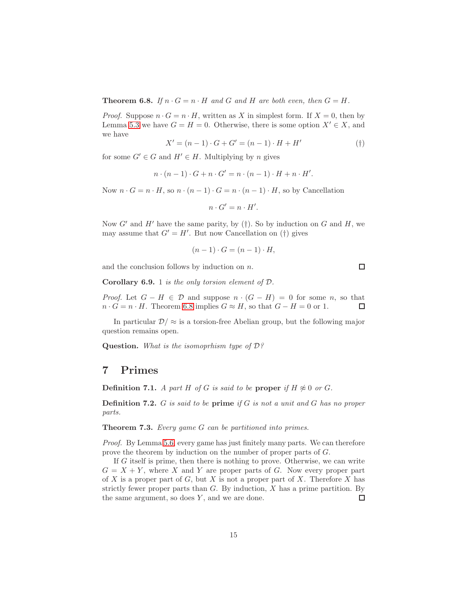<span id="page-14-1"></span>**Theorem 6.8.** *If*  $n \cdot G = n \cdot H$  *and G and H are both even, then*  $G = H$ *.* 

*Proof.* Suppose  $n \cdot G = n \cdot H$ , written as X in simplest form. If  $X = 0$ , then by Lemma [5.3](#page-10-0) we have  $G = H = 0$ . Otherwise, there is some option  $X' \in X$ , and we have

$$
X' = (n - 1) \cdot G + G' = (n - 1) \cdot H + H'
$$
 (†)

for some  $G' \in G$  and  $H' \in H$ . Multiplying by *n* gives

$$
n \cdot (n-1) \cdot G + n \cdot G' = n \cdot (n-1) \cdot H + n \cdot H'.
$$

Now  $n \cdot G = n \cdot H$ , so  $n \cdot (n-1) \cdot G = n \cdot (n-1) \cdot H$ , so by Cancellation

$$
n \cdot G' = n \cdot H'.
$$

Now  $G'$  and  $H'$  have the same parity, by (†). So by induction on G and H, we may assume that  $G' = H'$ . But now Cancellation on (†) gives

$$
(n-1)\cdot G = (n-1)\cdot H,
$$

and the conclusion follows by induction on  $n$ .

Corollary 6.9. 1 *is the only torsion element of* D*.*

*Proof.* Let  $G - H \in \mathcal{D}$  and suppose  $n \cdot (G - H) = 0$  for some n, so that  $n \cdot G = n \cdot H$ . Theorem [6.8](#page-14-1) implies  $G \approx H$ , so that  $G - H = 0$  or 1. □

In particular  $\mathcal{D}/\approx$  is a torsion-free Abelian group, but the following major question remains open.

Question. *What is the isomoprhism type of* D*?*

### <span id="page-14-0"></span>7 Primes

**Definition 7.1.** *A part H of G is said to be* **proper** *if*  $H \not\approx 0$  *or G*.

Definition 7.2. G *is said to be* prime *if* G *is not a unit and* G *has no proper parts.*

Theorem 7.3. *Every game* G *can be partitioned into primes.*

*Proof.* By Lemma [5.6,](#page-10-2) every game has just finitely many parts. We can therefore prove the theorem by induction on the number of proper parts of G.

If G itself is prime, then there is nothing to prove. Otherwise, we can write  $G = X + Y$ , where X and Y are proper parts of G. Now every proper part of X is a proper part of  $G$ , but X is not a proper part of X. Therefore X has strictly fewer proper parts than  $G$ . By induction,  $X$  has a prime partition. By the same argument, so does  $Y$ , and we are done.  $\Box$ 

 $\Box$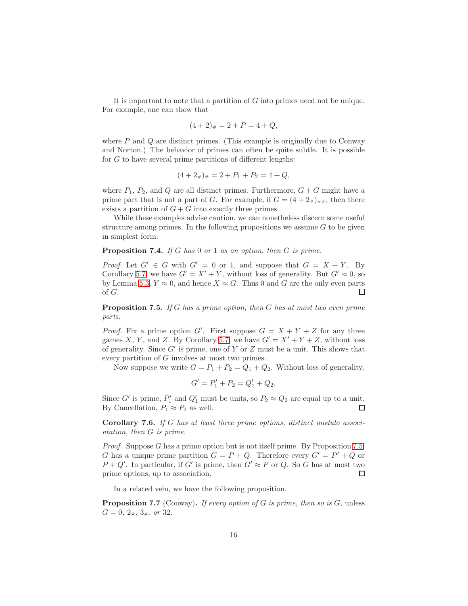It is important to note that a partition of G into primes need not be unique. For example, one can show that

$$
(4+2)_\# = 2 + P = 4 + Q,
$$

where  $P$  and  $Q$  are distinct primes. (This example is originally due to Conway and Norton.) The behavior of primes can often be quite subtle. It is possible for  $G$  to have several prime partitions of different lengths:

$$
(4 + 2\#)\# = 2 + P1 + P2 = 4 + Q,
$$

where  $P_1$ ,  $P_2$ , and Q are all distinct primes. Furthermore,  $G + G$  might have a prime part that is not a part of G. For example, if  $G = (4 + 2<sub>\#</sub>)_{\# \#}$ , then there exists a partition of  $G + G$  into exactly three primes.

While these examples advise caution, we can nonetheless discern some useful structure among primes. In the following propositions we assume  $G$  to be given in simplest form.

#### Proposition 7.4. *If* G *has* 0 *or* 1 *as an option, then* G *is prime.*

*Proof.* Let  $G' \in G$  with  $G' = 0$  or 1, and suppose that  $G = X + Y$ . By Corollary [5.7,](#page-12-1) we have  $G' = X' + Y$ , without loss of generality. But  $G' \approx 0$ , so by Lemma [5.3,](#page-10-0)  $Y \approx 0$ , and hence  $X \approx G$ . Thus 0 and G are the only even parts of G.  $\Box$ 

<span id="page-15-0"></span>Proposition 7.5. *If* G *has a prime option, then* G *has at most two even prime parts.*

*Proof.* Fix a prime option G'. First suppose  $G = X + Y + Z$  for any three games X, Y, and Z. By Corollary [5.7,](#page-12-1) we have  $G' = X' + Y + Z$ , without loss of generality. Since  $G'$  is prime, one of Y or Z must be a unit. This shows that every partition of G involves at most two primes.

Now suppose we write  $G = P_1 + P_2 = Q_1 + Q_2$ . Without loss of generality,

$$
G' = P_1' + P_2 = Q_1' + Q_2.
$$

Since G' is prime,  $P'_1$  and  $Q'_1$  must be units, so  $P_2 \approx Q_2$  are equal up to a unit. By Cancellation,  $P_1 \approx P_2$  as well.  $\Box$ 

Corollary 7.6. *If* G *has at least three prime options, distinct modulo associatation, then* G *is prime.*

*Proof.* Suppose G has a prime option but is not itself prime. By Proposition [7.5,](#page-15-0) G has a unique prime partition  $G = P + Q$ . Therefore every  $G' = P' + Q$  or  $P+Q'$ . In particular, if G' is prime, then  $G' \approx P$  or Q. So G has at most two prime options, up to association.  $\Box$ 

In a related vein, we have the following proposition.

Proposition 7.7 (Conway). *If every option of* G *is prime, then so is* G*,* unless  $G = 0, 2<sub>#</sub>, 3<sub>#</sub>, or 32.$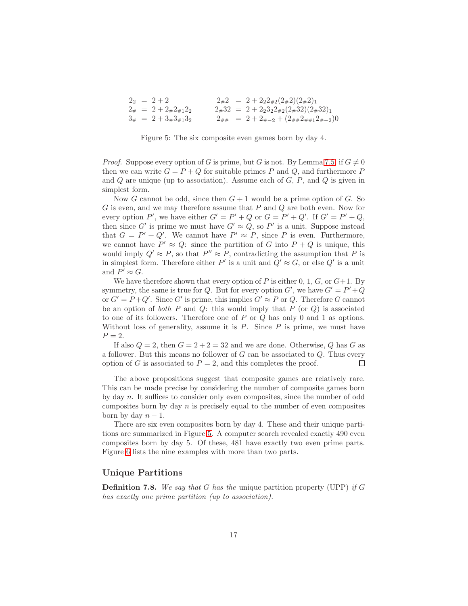| $2_2 = 2 + 2$                      |  | $2_{\#}2 = 2 + 2_{2}2_{\#2}(2_{\#}2)(2_{\#}2)_{1}$                                         |
|------------------------------------|--|--------------------------------------------------------------------------------------------|
| $2_{\#}$ = 2 + 2 $_{\#}2_{\#1}2_2$ |  | $2_{\#}32 = 2 + 2_{2}3_{2}2_{\#2}(2_{\#}32)(2_{\#}32)_{1}$                                 |
| $3_{\#}$ = 2 + $3_{\#}3_{\#1}3_2$  |  | $2_{\# \#}$ = 2 + 2 <sub>#-2</sub> + (2 <sub>##</sub> 2 <sub>##1</sub> 2 <sub>#-2</sub> )0 |

<span id="page-16-0"></span>Figure 5: The six composite even games born by day 4.

*Proof.* Suppose every option of G is prime, but G is not. By Lemma [7.5,](#page-15-0) if  $G \neq 0$ then we can write  $G = P + Q$  for suitable primes P and Q, and furthermore P and  $Q$  are unique (up to association). Assume each of  $G, P$ , and  $Q$  is given in simplest form.

Now G cannot be odd, since then  $G+1$  would be a prime option of G. So G is even, and we may therefore assume that P and Q are both even. Now for every option P', we have either  $G' = P' + Q$  or  $G = P' + Q'$ . If  $G' = P' + Q$ , then since G' is prime we must have  $G' \approx Q$ , so P' is a unit. Suppose instead that  $G = P' + Q'$ . We cannot have  $P' \approx P$ , since P is even. Furthermore, we cannot have  $P' \approx Q$ : since the partition of G into  $P + Q$  is unique, this would imply  $Q' \approx P$ , so that  $P'' \approx P$ , contradicting the assumption that P is in simplest form. Therefore either  $P'$  is a unit and  $Q' \approx G$ , or else  $Q'$  is a unit and  $P' \approx G$ .

We have therefore shown that every option of  $P$  is either 0, 1,  $G$ , or  $G+1$ . By symmetry, the same is true for Q. But for every option  $G'$ , we have  $G' = P' + Q$ or  $G' = P + Q'$ . Since G' is prime, this implies  $G' \approx P$  or Q. Therefore G cannot be an option of *both* P and Q: this would imply that P (or Q) is associated to one of its followers. Therefore one of  $P$  or  $Q$  has only 0 and 1 as options. Without loss of generality, assume it is  $P$ . Since  $P$  is prime, we must have  $P=2.$ 

If also  $Q = 2$ , then  $G = 2 + 2 = 32$  and we are done. Otherwise, Q has G as a follower. But this means no follower of  $G$  can be associated to  $Q$ . Thus every option of G is associated to  $P = 2$ , and this completes the proof. П

The above propositions suggest that composite games are relatively rare. This can be made precise by considering the number of composite games born by day n. It suffices to consider only even composites, since the number of odd composites born by day  $n$  is precisely equal to the number of even composites born by day  $n-1$ .

There are six even composites born by day 4. These and their unique partitions are summarized in Figure [5.](#page-16-0) A computer search revealed exactly 490 even composites born by day 5. Of these, 481 have exactly two even prime parts. Figure [6](#page-17-0) lists the nine examples with more than two parts.

### Unique Partitions

Definition 7.8. *We say that* G *has the* unique partition property (UPP) *if* G *has exactly one prime partition (up to association).*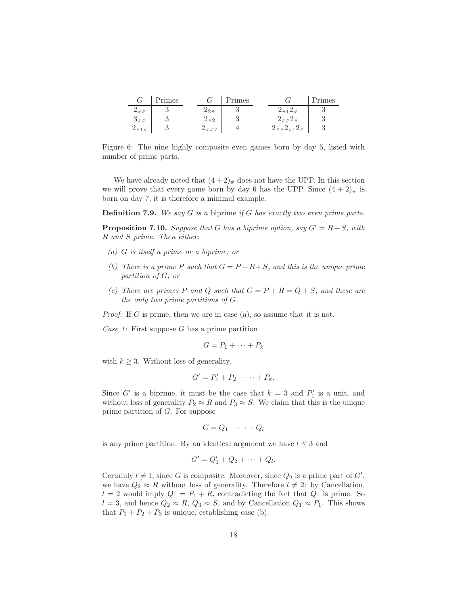|            | Primes |       | Primes        |                                        | Primes |
|------------|--------|-------|---------------|----------------------------------------|--------|
|            | ັ      | i9#   | ۰J            | $\angle$ #<br>$2 + 1$                  |        |
| ച<br>$5\#$ |        | $-#2$ | $\Omega$<br>ಀ |                                        |        |
| 71#        |        |       |               | #1<br>$\scriptstyle{\mathcal{L}_{\#}}$ |        |

<span id="page-17-0"></span>Figure 6: The nine highly composite even games born by day 5, listed with number of prime parts.

We have already noted that  $(4+2)_*$  does not have the UPP. In this section we will prove that every game born by day 6 has the UPP. Since  $(4 + 2)_{\#}$  is born on day 7, it is therefore a minimal example.

Definition 7.9. *We say* G *is a* biprime *if* G *has exactly two even prime parts.*

<span id="page-17-1"></span>**Proposition 7.10.** *Suppose that* G *has a biprime option, say*  $G' = R + S$ *, with* R *and* S *prime. Then either:*

- *(a)* G *is itself a prime or a biprime; or*
- *(b)* There is a prime P such that  $G = P + R + S$ , and this is the unique prime *partition of* G*; or*
- *(c)* There are primes P and Q such that  $G = P + R = Q + S$ , and these are *the only two prime partitions of* G*.*

*Proof.* If G is prime, then we are in case (a), so assume that it is not.

*Case 1*: First suppose G has a prime partition

$$
G = P_1 + \cdots + P_k
$$

with  $k \geq 3$ . Without loss of generality,

$$
G'=P'_1+P_2+\cdots+P_k.
$$

Since G' is a biprime, it must be the case that  $k = 3$  and  $P'_1$  is a unit, and without loss of generality  $P_2 \approx R$  and  $P_3 \approx S$ . We claim that this is the unique prime partition of G. For suppose

$$
G = Q_1 + \cdots + Q_l
$$

is any prime partition. By an identical argument we have  $l \leq 3$  and

$$
G'=Q_1'+Q_2+\cdots+Q_l.
$$

Certainly  $l \neq 1$ , since G is composite. Moreover, since  $Q_2$  is a prime part of G', we have  $Q_2 \approx R$  without loss of generality. Therefore  $l \neq 2$ : by Cancellation,  $l = 2$  would imply  $Q_1 = P_1 + R$ , contradicting the fact that  $Q_1$  is prime. So  $l = 3$ , and hence  $Q_2 \approx R$ ,  $Q_3 \approx S$ , and by Cancellation  $Q_1 \approx P_1$ . This shows that  $P_1 + P_2 + P_3$  is unique, establishing case (b).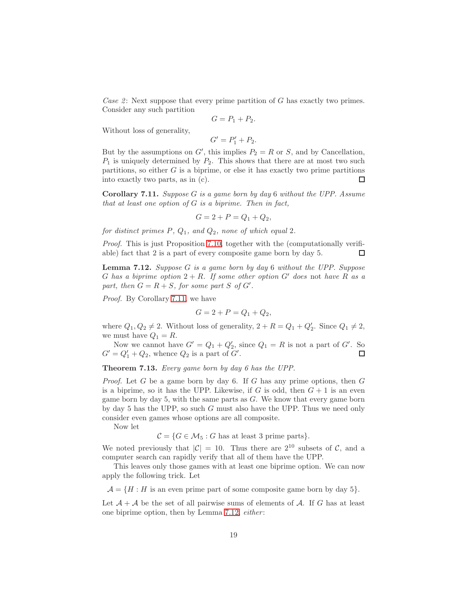*Case 2*: Next suppose that every prime partition of G has exactly two primes. Consider any such partition

$$
G = P_1 + P_2.
$$

Without loss of generality,

$$
G'=P_1'+P_2.
$$

But by the assumptions on  $G'$ , this implies  $P_2 = R$  or  $S$ , and by Cancellation,  $P_1$  is uniquely determined by  $P_2$ . This shows that there are at most two such partitions, so either  $G$  is a biprime, or else it has exactly two prime partitions into exactly two parts, as in (c). □

<span id="page-18-0"></span>Corollary 7.11. *Suppose* G *is a game born by day* 6 *without the UPP. Assume that at least one option of* G *is a biprime. Then in fact,*

$$
G = 2 + P = Q_1 + Q_2,
$$

*for distinct primes* P*,* Q1*, and* Q2*, none of which equal* 2*.*

*Proof.* This is just Proposition [7.10,](#page-17-1) together with the (computationally verifiable) fact that 2 is a part of every composite game born by day 5. П

<span id="page-18-1"></span>Lemma 7.12. *Suppose* G *is a game born by day* 6 *without the UPP. Suppose* G has a biprime option  $2 + R$ . If some other option  $G'$  does not have R as a part, then  $G = R + S$ , for some part S of  $G'$ .

*Proof.* By Corollary [7.11,](#page-18-0) we have

$$
G = 2 + P = Q_1 + Q_2,
$$

where  $Q_1, Q_2 \neq 2$ . Without loss of generality,  $2 + R = Q_1 + Q'_2$ . Since  $Q_1 \neq 2$ , we must have  $Q_1 = R$ .

Now we cannot have  $G' = Q_1 + Q'_2$ , since  $Q_1 = R$  is not a part of  $G'$ . So  $G' = Q'_1 + Q_2$ , whence  $Q_2$  is a part of  $G'$ .

Theorem 7.13. *Every game born by day 6 has the UPP.*

*Proof.* Let G be a game born by day 6. If G has any prime options, then G is a biprime, so it has the UPP. Likewise, if  $G$  is odd, then  $G + 1$  is an even game born by day 5, with the same parts as  $G$ . We know that every game born by day 5 has the UPP, so such G must also have the UPP. Thus we need only consider even games whose options are all composite.

Now let

 $C = \{G \in \mathcal{M}_5 : G \text{ has at least 3 prime parts}\}.$ 

We noted previously that  $|\mathcal{C}| = 10$ . Thus there are  $2^{10}$  subsets of C, and a computer search can rapidly verify that all of them have the UPP.

This leaves only those games with at least one biprime option. We can now apply the following trick. Let

 $\mathcal{A} = \{H : H$  is an even prime part of some composite game born by day 5.

Let  $\mathcal{A} + \mathcal{A}$  be the set of all pairwise sums of elements of  $\mathcal{A}$ . If G has at least one biprime option, then by Lemma [7.12,](#page-18-1) *either* :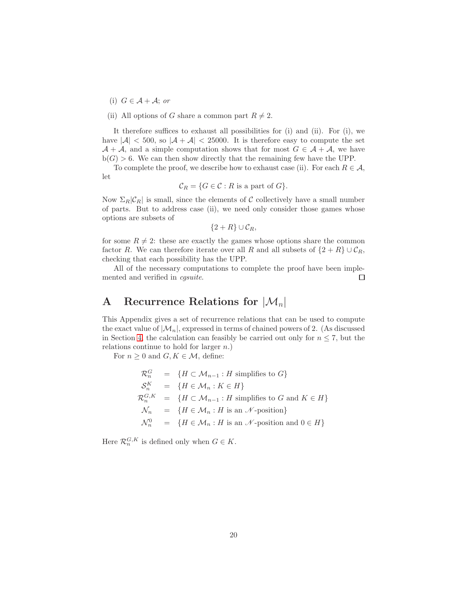(i)  $G \in \mathcal{A} + \mathcal{A}$ ; *or* 

(ii) All options of G share a common part  $R \neq 2$ .

It therefore suffices to exhaust all possibilities for (i) and (ii). For (i), we have  $|A| < 500$ , so  $|A + A| < 25000$ . It is therefore easy to compute the set  $A + A$ , and a simple computation shows that for most  $G \in A + A$ , we have  $b(G) > 6$ . We can then show directly that the remaining few have the UPP.

To complete the proof, we describe how to exhaust case (ii). For each  $R \in \mathcal{A}$ , let

$$
\mathcal{C}_R = \{ G \in \mathcal{C} : R \text{ is a part of } G \}.
$$

Now  $\Sigma_R|\mathcal{C}_R|$  is small, since the elements of C collectively have a small number of parts. But to address case (ii), we need only consider those games whose options are subsets of

$$
\{2+R\}\cup\mathcal{C}_R,
$$

for some  $R \neq 2$ : these are exactly the games whose options share the common factor R. We can therefore iterate over all R and all subsets of  $\{2 + R\} \cup \mathcal{C}_R$ , checking that each possibility has the UPP.

All of the necessary computations to complete the proof have been implemented and verified in *cgsuite*.  $\Box$ 

## <span id="page-19-0"></span>A Recurrence Relations for  $|\mathcal{M}_n|$

This Appendix gives a set of recurrence relations that can be used to compute the exact value of  $|\mathcal{M}_n|$ , expressed in terms of chained powers of 2. (As discussed in Section [4,](#page-5-0) the calculation can feasibly be carried out only for  $n \leq 7$ , but the relations continue to hold for larger n.)

For  $n \geq 0$  and  $G, K \in \mathcal{M}$ , define:

$$
\mathcal{R}_n^G = \{ H \subset \mathcal{M}_{n-1} : H \text{ simplifies to } G \}
$$
  
\n
$$
\mathcal{S}_n^K = \{ H \in \mathcal{M}_n : K \in H \}
$$
  
\n
$$
\mathcal{R}_n^{G,K} = \{ H \subset \mathcal{M}_{n-1} : H \text{ simplifies to } G \text{ and } K \in H \}
$$
  
\n
$$
\mathcal{N}_n = \{ H \in \mathcal{M}_n : H \text{ is an } \mathcal{N}\text{-position} \}
$$
  
\n
$$
\mathcal{N}_n^0 = \{ H \in \mathcal{M}_n : H \text{ is an } \mathcal{N}\text{-position and } 0 \in H \}
$$

Here  $\mathcal{R}_n^{G,K}$  is defined only when  $G \in K$ .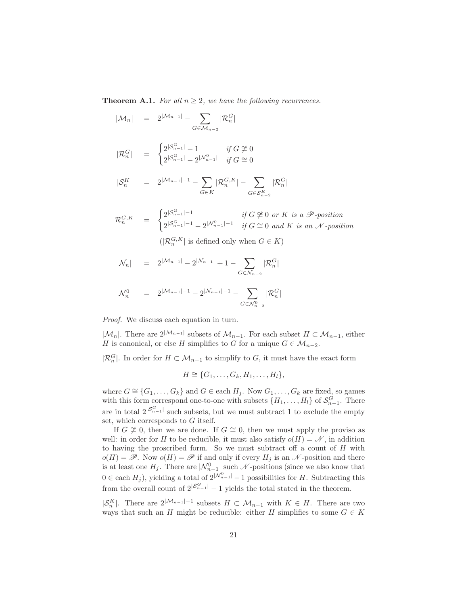**Theorem A.1.** *For all*  $n \geq 2$ *, we have the following recurrences.* 

$$
|\mathcal{M}_n| = 2^{|\mathcal{M}_{n-1}|} - \sum_{G \in \mathcal{M}_{n-2}} |\mathcal{R}_n^G|
$$
  
\n
$$
|\mathcal{R}_n^G| = \begin{cases} 2^{|\mathcal{S}_{n-1}^G|} - 1 & \text{if } G \not\cong 0 \\ 2^{|\mathcal{S}_{n-1}^G|} - 2^{|\mathcal{N}_{n-1}^0|} & \text{if } G \cong 0 \end{cases}
$$
  
\n
$$
|\mathcal{S}_n^K| = 2^{|\mathcal{M}_{n-1}|-1} - \sum_{G \in K} |\mathcal{R}_n^{G,K}| - \sum_{G \in \mathcal{S}_{n-2}^K} |\mathcal{R}_n^G|
$$
  
\n
$$
|\mathcal{R}_n^{G,K}| = \begin{cases} 2^{|\mathcal{S}_{n-1}^G|-1} & \text{if } G \not\cong 0 \text{ or } K \text{ is a } \mathcal{P}\text{-position} \\ 2^{|\mathcal{S}_{n-1}^G|-1} - 2^{|\mathcal{N}_{n-1}^0|-1} & \text{if } G \cong 0 \text{ and } K \text{ is an } \mathcal{N}\text{-position} \\ (|\mathcal{R}_n^{G,K}| \text{ is defined only when } G \in K) \end{cases}
$$
  
\n
$$
|\mathcal{N}_n| = 2^{|\mathcal{M}_{n-1}|} - 2^{|\mathcal{N}_{n-1}|-1} + 1 - \sum_{G \in \mathcal{N}_{n-2}} |\mathcal{R}_n^G|
$$

$$
|\mathcal{N}^0_n| \quad = \quad 2^{|\mathcal{M}_{n-1}|-1} - 2^{|\mathcal{N}_{n-1}|-1} - \sum_{G \in \mathcal{N}^0_{n-2}} |\mathcal{R}^G_n
$$

*Proof.* We discuss each equation in turn.

 $|\mathcal{M}_n|$ . There are  $2^{|\mathcal{M}_{n-1}|}$  subsets of  $\mathcal{M}_{n-1}$ . For each subset  $H \subset \mathcal{M}_{n-1}$ , either H is canonical, or else H simplifies to G for a unique  $G \in \mathcal{M}_{n-2}$ .

 $|\mathcal{R}_n^G|$ . In order for  $H \subset \mathcal{M}_{n-1}$  to simplify to G, it must have the exact form

$$
H \cong \{G_1, \ldots, G_k, H_1, \ldots, H_l\},\
$$

where  $G \cong \{G_1, \ldots, G_k\}$  and  $G \in$  each  $H_i$ . Now  $G_1, \ldots, G_k$  are fixed, so games with this form correspond one-to-one with subsets  $\{H_1, \ldots, H_l\}$  of  $\mathcal{S}_{n-1}^G$ . There are in total  $2^{|S_{n-1}^G|}$  such subsets, but we must subtract 1 to exclude the empty set, which corresponds to G itself.

If  $G \not\cong 0$ , then we are done. If  $G \cong 0$ , then we must apply the proviso as well: in order for H to be reducible, it must also satisfy  $o(H) = \mathcal{N}$ , in addition to having the proscribed form. So we must subtract off a count of  $H$  with  $o(H) = \mathscr{P}$ . Now  $o(H) = \mathscr{P}$  if and only if every  $H_i$  is an  $\mathscr{N}$ -position and there is at least one  $H_j$ . There are  $|\mathcal{N}_{n-1}^0|$  such  $\mathcal{N}$ -positions (since we also know that  $0 \in$  each  $H_j$ ), yielding a total of  $2^{|{\mathcal{N}}_{n-1}^0|} - 1$  possibilities for H. Subtracting this from the overall count of  $2^{|S_{n-1}^G|}-1$  yields the total stated in the theorem.

 $|S_n^K|$ . There are  $2^{|{\mathcal M}_{n-1}|-1}$  subsets  $H \subset {\mathcal M}_{n-1}$  with  $K \in H$ . There are two ways that such an H might be reducible: either H simplifies to some  $G \in K$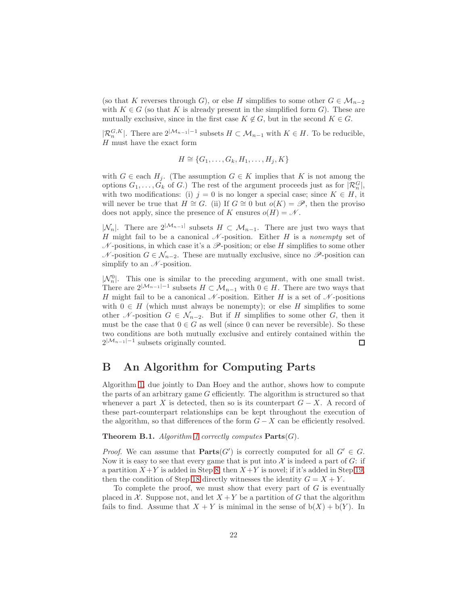(so that K reverses through G), or else H simplifies to some other  $G \in \mathcal{M}_{n-2}$ with  $K \in G$  (so that K is already present in the simplified form G). These are mutually exclusive, since in the first case  $K \notin G$ , but in the second  $K \in G$ .

 $|\mathcal{R}_n^{G,K}|$ . There are  $2^{|\mathcal{M}_{n-1}|-1}$  subsets  $H \subset \mathcal{M}_{n-1}$  with  $K \in H$ . To be reducible,  $H$  must have the exact form

$$
H \cong \{G_1, \ldots, G_k, H_1, \ldots, H_j, K\}
$$

with  $G \in$  each  $H_j$ . (The assumption  $G \in K$  implies that K is not among the options  $G_1, \ldots, G_k$  of G.) The rest of the argument proceeds just as for  $|\mathcal{R}_n^G|$ , with two modifications: (i)  $j = 0$  is no longer a special case; since  $K \in H$ , it will never be true that  $H \cong G$ . (ii) If  $G \cong 0$  but  $o(K) = \mathscr{P}$ , then the proviso does not apply, since the presence of K ensures  $o(H) = \mathcal{N}$ .

 $|\mathcal{N}_n|$ . There are  $2^{|\mathcal{M}_{n-1}|}$  subsets  $H \subset \mathcal{M}_{n-1}$ . There are just two ways that H might fail to be a canonical  $\mathcal N$ -position. Either H is a *nonempty* set of  $\mathcal N$ -positions, in which case it's a  $\mathcal P$ -position; or else H simplifies to some other  $\mathcal{N}$ -position  $G \in \mathcal{N}_{n-2}$ . These are mutually exclusive, since no  $\mathscr{P}$ -position can simplify to an  $\mathcal N$ -position.

 $|\mathcal{N}_n^0|$ . This one is similar to the preceding argument, with one small twist. There are  $2^{|\mathcal{M}_{n-1}|-1}$  subsets  $H \subset \mathcal{M}_{n-1}$  with  $0 \in H$ . There are two ways that H might fail to be a canonical  $\mathcal N$ -position. Either H is a set of  $\mathcal N$ -positions with  $0 \in H$  (which must always be nonempty); or else H simplifies to some other N-position  $G \in \mathcal{N}_{n-2}$ . But if H simplifies to some other G, then it must be the case that  $0 \in G$  as well (since 0 can never be reversible). So these two conditions are both mutually exclusive and entirely contained within the  $2^{|\mathcal{M}_{n-1}|-1}$  subsets originally counted. □

### <span id="page-21-0"></span>B An Algorithm for Computing Parts

Algorithm [1,](#page-22-0) due jointly to Dan Hoey and the author, shows how to compute the parts of an arbitrary game G efficiently. The algorithm is structured so that whenever a part X is detected, then so is its counterpart  $G - X$ . A record of these part-counterpart relationships can be kept throughout the execution of the algorithm, so that differences of the form  $G - X$  can be efficiently resolved.

**Theorem B.1.** *Algorithm* [1](#page-22-0) *correctly computes*  $\textbf{Parts}(G)$ *.* 

*Proof.* We can assume that  $\text{Parts}(G')$  is correctly computed for all  $G' \in G$ . Now it is easy to see that every game that is put into  $\mathcal X$  is indeed a part of  $G$ : if a partition  $X + Y$  is added in Step [8,](#page-21-0) then  $X + Y$  is novel; if it's added in Step [19,](#page-21-0) then the condition of Step [18](#page-21-0) directly witnesses the identity  $G = X + Y$ .

To complete the proof, we must show that every part of  $G$  is eventually placed in X. Suppose not, and let  $X + Y$  be a partition of G that the algorithm fails to find. Assume that  $X + Y$  is minimal in the sense of  $b(X) + b(Y)$ . In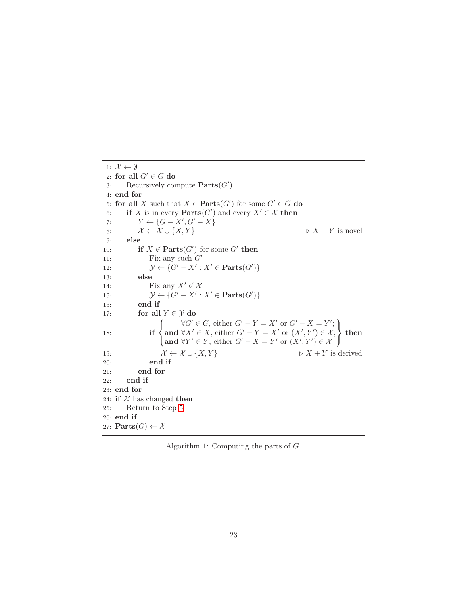<span id="page-22-0"></span>1:  $\mathcal{X} \leftarrow \emptyset$ 2: for all  $G' \in G$  do 3: Recursively compute  $\textbf{Parts}(G')$ 4: end for 5: for all X such that  $X \in \mathbf{Parts}(G')$  for some  $G' \in G$  do 6: if X is in every  $\text{Parts}(G')$  and every  $X' \in \mathcal{X}$  then 7:  $Y \leftarrow \{G - X', G' - X\}$ 8:  $\mathcal{X} \leftarrow \mathcal{X} \cup \{X, Y\}$   $\triangleright X + Y$  is novel 9: else 10: **if**  $X \notin \text{Parts}(G')$  for some  $G'$  then 11: Fix any such  $G'$ 12:  $\mathcal{Y} \leftarrow \{G' - X' : X' \in \mathbf{Parts}(G')\}$ 13: else 14: Fix any  $X' \notin \mathcal{X}$ 15:  $\mathcal{Y} \leftarrow \{G' - X' : X' \in \mathbf{Parts}(G')\}$ 16: end if 17: for all  $Y \in \mathcal{Y}$  do 18:  $\sqrt{ }$  $\left\langle \right\rangle$  $\mathcal{L}$  $\forall G' \in G$ , either  $G' - Y = X'$  or  $G' - X = Y'$ ; and ∀X' ∈ X, either  $G' - Y = X'$  or  $(X', Y') \in \mathcal{X}$ ; and  $\forall Y' \in Y$ , either  $G' - X = Y'$  or  $(X', Y') \in \mathcal{X}$  $\mathcal{L}$  $\overline{\mathcal{L}}$  $\int$ then 19:  $\mathcal{X} \leftarrow \mathcal{X} \cup \{X, Y\}$   $\triangleright X + Y$  is derived 20: end if 21: end for 22: end if 23: end for 24: if  $X$  has changed then 25: Return to Step [5](#page-21-0) 26: end if 27:  $\text{Parts}(G) \leftarrow \mathcal{X}$ 

Algorithm 1: Computing the parts of G.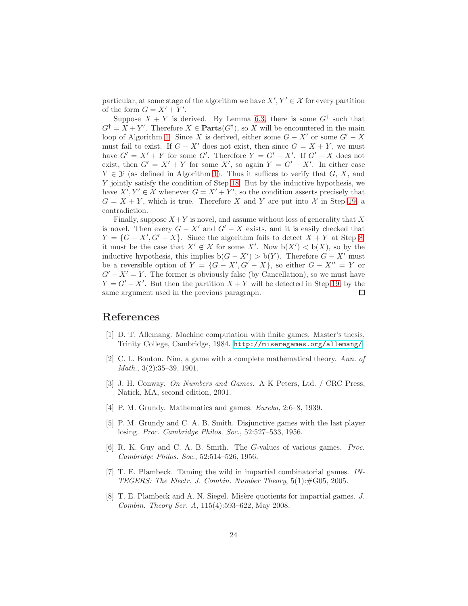particular, at some stage of the algorithm we have  $X', Y' \in \mathcal{X}$  for every partition of the form  $G = X' + Y'$ .

Suppose  $X + Y$  is derived. By Lemma [6.3,](#page-12-2) there is some  $G^{\dagger}$  such that  $G^{\dagger} = X + Y'$ . Therefore  $X \in \text{Parts}(G^{\dagger})$ , so X will be encountered in the main loop of Algorithm [1.](#page-22-0) Since X is derived, either some  $G - X'$  or some  $G' - X$ must fail to exist. If  $G - X'$  does not exist, then since  $G = X + Y$ , we must have  $G' = X' + Y$  for some G'. Therefore  $Y = G' - X'$ . If  $G' - X$  does not exist, then  $G' = X' + Y$  for some X', so again  $Y = G' - X'$ . In either case  $Y \in \mathcal{Y}$  (as defined in Algorithm [1\)](#page-22-0). Thus it suffices to verify that  $G, X$ , and Y jointly satisfy the condition of Step [18.](#page-21-0) But by the inductive hypothesis, we have  $X', Y' \in \mathcal{X}$  whenever  $G = X' + Y'$ , so the condition asserts precisely that  $G = X + Y$ , which is true. Therefore X and Y are put into X in Step [19,](#page-21-0) a contradiction.

Finally, suppose  $X+Y$  is novel, and assume without loss of generality that X is novel. Then every  $G - X'$  and  $G' - X$  exists, and it is easily checked that  $Y = \{G - X', G' - X\}$ . Since the algorithm fails to detect  $X + Y$  at Step [8,](#page-21-0) it must be the case that  $X' \notin \mathcal{X}$  for some X'. Now  $b(X') < b(X)$ , so by the inductive hypothesis, this implies  $b(G - X') > b(Y)$ . Therefore  $G - X'$  must be a reversible option of  $Y = \{G - X', G' - X\}$ , so either  $G - X'' = Y$  or  $G'-X'=Y$ . The former is obviously false (by Cancellation), so we must have  $Y = G' - X'$ . But then the partition  $X + Y$  will be detected in Step [19,](#page-21-0) by the same argument used in the previous paragraph. П

### <span id="page-23-7"></span>References

- <span id="page-23-0"></span>[1] D. T. Allemang. Machine computation with finite games. Master's thesis, Trinity College, Cambridge, 1984. <http://miseregames.org/allemang/>.
- [2] C. L. Bouton. Nim, a game with a complete mathematical theory. *Ann. of Math.*, 3(2):35–39, 1901.
- <span id="page-23-6"></span>[3] J. H. Conway. *On Numbers and Games*. A K Peters, Ltd. / CRC Press, Natick, MA, second edition, 2001.
- <span id="page-23-2"></span><span id="page-23-1"></span>[4] P. M. Grundy. Mathematics and games. *Eureka*, 2:6–8, 1939.
- [5] P. M. Grundy and C. A. B. Smith. Disjunctive games with the last player losing. *Proc. Cambridge Philos. Soc.*, 52:527–533, 1956.
- <span id="page-23-3"></span>[6] R. K. Guy and C. A. B. Smith. The G-values of various games. *Proc. Cambridge Philos. Soc.*, 52:514–526, 1956.
- <span id="page-23-4"></span>[7] T. E. Plambeck. Taming the wild in impartial combinatorial games. *IN-TEGERS: The Electr. J. Combin. Number Theory*, 5(1):#G05, 2005.
- <span id="page-23-5"></span>[8] T. E. Plambeck and A. N. Siegel. Misère quotients for impartial games. *J. Combin. Theory Ser. A*, 115(4):593–622, May 2008.